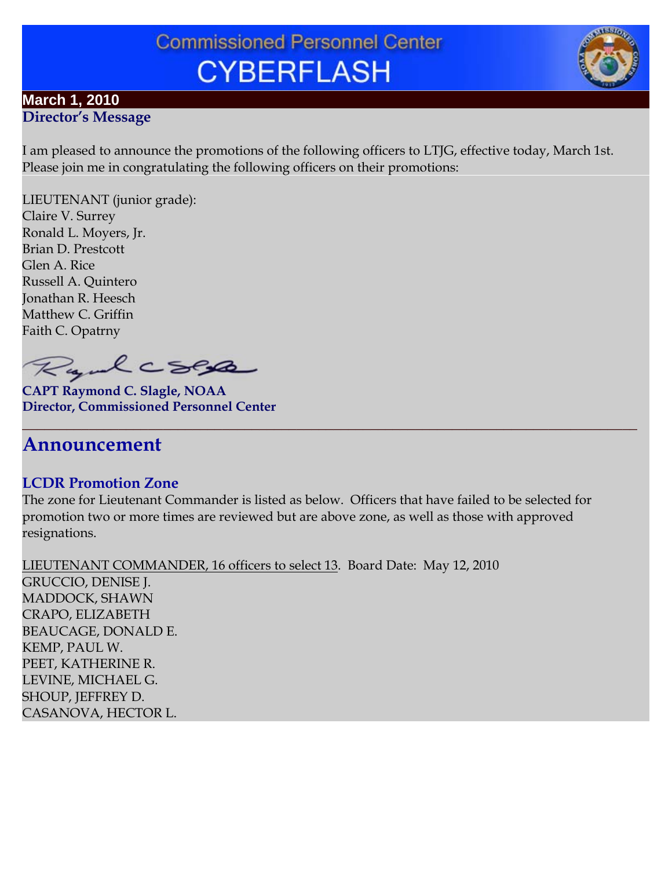# **Commissioned Personnel Center CYBERFLASH**

#### **March 1, 2010 Director's Message**

I am pleased to announce the promotions of the following officers to LTJG, effective today, March 1st. Please join me in congratulating the following officers on their promotions:

LIEUTENANT (junior grade): Claire V. Surrey Ronald L. Moyers, Jr. Brian D. Prestcott Glen A. Rice Russell A. Quintero Jonathan R. Heesch Matthew C. Griffin Faith C. Opatrny

Ryalcsese

**CAPT Raymond C. Slagle, NOAA Director, Commissioned Personnel Center**

# **Announcement**

## **LCDR Promotion Zone**

The zone for Lieutenant Commander is listed as below. Officers that have failed to be selected for promotion two or more times are reviewed but are above zone, as well as those with approved resignations.

**\_\_\_\_\_\_\_\_\_\_\_\_\_\_\_\_\_\_\_\_\_\_\_\_\_\_\_\_\_\_\_\_\_\_\_\_\_\_\_\_\_\_\_\_\_\_\_\_\_\_\_\_\_\_\_\_\_\_\_\_\_\_\_\_\_\_\_\_\_\_\_\_\_\_\_\_\_\_\_\_\_\_\_**

LIEUTENANT COMMANDER, 16 officers to select 13. Board Date: May 12, 2010 GRUCCIO, DENISE J. MADDOCK, SHAWN CRAPO, ELIZABETH BEAUCAGE, DONALD E. KEMP, PAUL W. PEET, KATHERINE R. LEVINE, MICHAEL G. SHOUP, JEFFREY D. CASANOVA, HECTOR L.

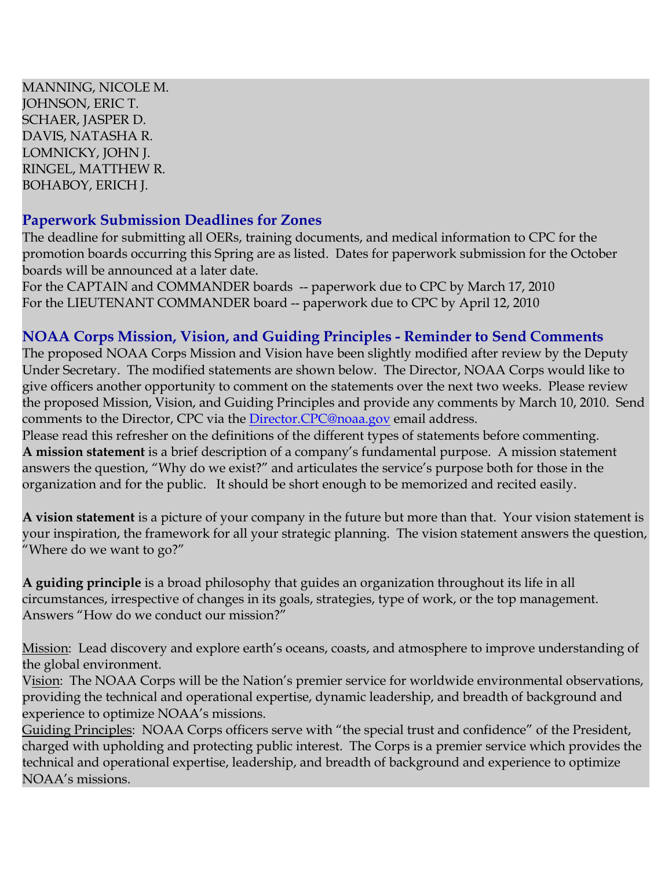MANNING, NICOLE M. JOHNSON, ERIC T. SCHAER, JASPER D. DAVIS, NATASHA R. LOMNICKY, JOHN J. RINGEL, MATTHEW R. BOHABOY, ERICH J.

## **Paperwork Submission Deadlines for Zones**

The deadline for submitting all OERs, training documents, and medical information to CPC for the promotion boards occurring this Spring are as listed. Dates for paperwork submission for the October boards will be announced at a later date.

For the CAPTAIN and COMMANDER boards -- paperwork due to CPC by March 17, 2010 For the LIEUTENANT COMMANDER board -- paperwork due to CPC by April 12, 2010

## **NOAA Corps Mission, Vision, and Guiding Principles - Reminder to Send Comments**

The proposed NOAA Corps Mission and Vision have been slightly modified after review by the Deputy Under Secretary. The modified statements are shown below. The Director, NOAA Corps would like to give officers another opportunity to comment on the statements over the next two weeks. Please review the proposed Mission, Vision, and Guiding Principles and provide any comments by March 10, 2010. Send comments to the Director, CPC via the [Director.CPC@noaa.gov](mailto:Director.CPC@noaa.gov) email address.

Please read this refresher on the definitions of the different types of statements before commenting. **A mission statement** is a brief description of a company's fundamental purpose. A mission statement answers the question, "Why do we exist?" and articulates the service's purpose both for those in the organization and for the public. It should be short enough to be memorized and recited easily.

**A vision statement** is a picture of your company in the future but more than that. Your vision statement is your inspiration, the framework for all your strategic planning. The vision statement answers the question, "Where do we want to go?"

**A guiding principle** is a broad philosophy that guides an organization throughout its life in all circumstances, irrespective of changes in its goals, strategies, type of work, or the top management. Answers "How do we conduct our mission?"

Mission: Lead discovery and explore earth's oceans, coasts, and atmosphere to improve understanding of the global environment.

Vision: The NOAA Corps will be the Nation's premier service for worldwide environmental observations, providing the technical and operational expertise, dynamic leadership, and breadth of background and experience to optimize NOAA's missions.

Guiding Principles: NOAA Corps officers serve with "the special trust and confidence" of the President, charged with upholding and protecting public interest. The Corps is a premier service which provides the technical and operational expertise, leadership, and breadth of background and experience to optimize NOAA's missions.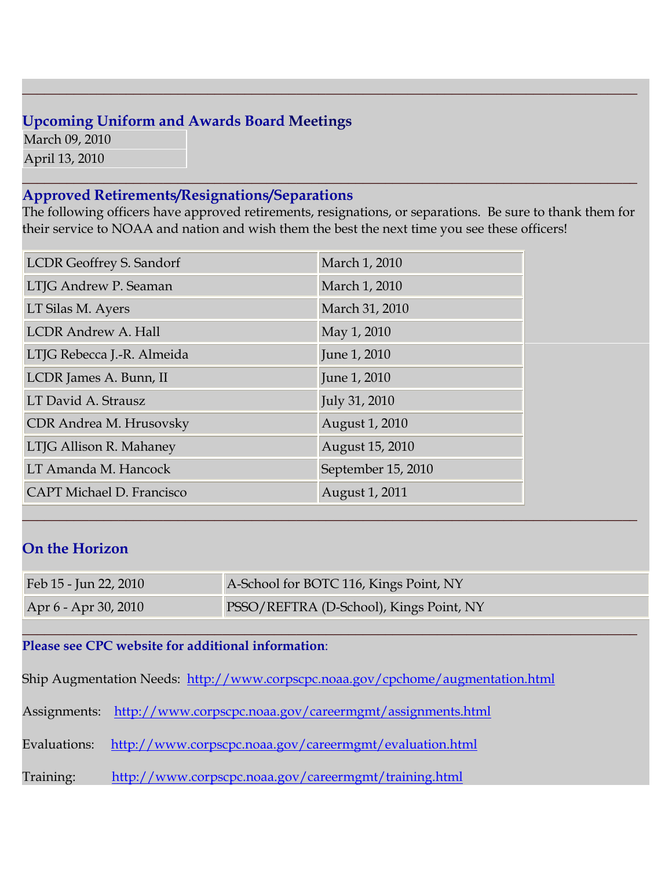## **Upcoming Uniform and Awards Board Meetings**

March 09, 2010 April 13, 2010

## **Approved Retirements/Resignations/Separations**

The following officers have approved retirements, resignations, or separations. Be sure to thank them for their service to NOAA and nation and wish them the best the next time you see these officers!

**\_\_\_\_\_\_\_\_\_\_\_\_\_\_\_\_\_\_\_\_\_\_\_\_\_\_\_\_\_\_\_\_\_\_\_\_\_\_\_\_\_\_\_\_\_\_\_\_\_\_\_\_\_\_\_\_\_\_\_\_\_\_\_\_\_\_\_\_\_\_\_\_\_\_\_\_\_\_\_\_\_\_\_**

**\_\_\_\_\_\_\_\_\_\_\_\_\_\_\_\_\_\_\_\_\_\_\_\_\_\_\_\_\_\_\_\_\_\_\_\_\_\_\_\_\_\_\_\_\_\_\_\_\_\_\_\_\_\_\_\_\_\_\_\_\_\_\_\_\_\_\_\_\_\_\_\_\_\_\_\_\_\_\_\_\_\_\_**

| <b>LCDR</b> Geoffrey S. Sandorf  | March 1, 2010      |
|----------------------------------|--------------------|
| LTJG Andrew P. Seaman            | March 1, 2010      |
| LT Silas M. Ayers                | March 31, 2010     |
| <b>LCDR Andrew A. Hall</b>       | May 1, 2010        |
| LTJG Rebecca J.-R. Almeida       | June 1, 2010       |
| LCDR James A. Bunn, II           | June 1, 2010       |
| LT David A. Strausz              | July 31, 2010      |
| CDR Andrea M. Hrusovsky          | August 1, 2010     |
| LTJG Allison R. Mahaney          | August 15, 2010    |
| LT Amanda M. Hancock             | September 15, 2010 |
| <b>CAPT Michael D. Francisco</b> | August 1, 2011     |

## **On the Horizon**

| Feb 15 - Jun 22, 2010 | A-School for BOTC 116, Kings Point, NY  |
|-----------------------|-----------------------------------------|
| Apr 6 - Apr 30, 2010  | PSSO/REFTRA (D-School), Kings Point, NY |

**\_\_\_\_\_\_\_\_\_\_\_\_\_\_\_\_\_\_\_\_\_\_\_\_\_\_\_\_\_\_\_\_\_\_\_\_\_\_\_\_\_\_\_\_\_\_\_\_\_\_\_\_\_\_\_\_\_\_\_\_\_\_\_\_\_\_\_\_\_\_\_\_\_\_\_\_\_\_\_\_\_\_\_**

#### **\_\_\_\_\_\_\_\_\_\_\_\_\_\_\_\_\_\_\_\_\_\_\_\_\_\_\_\_\_\_\_\_\_\_\_\_\_\_\_\_\_\_\_\_\_\_\_\_\_\_\_\_\_\_\_\_\_\_\_\_\_\_\_\_\_\_\_\_\_\_\_\_\_\_\_\_\_\_\_\_\_\_\_ Please see CPC website for additional information**:

Ship Augmentation Needs: <http://www.corpscpc.noaa.gov/cpchome/augmentation.html>

Assignments: <http://www.corpscpc.noaa.gov/careermgmt/assignments.html>

Evaluations: <http://www.corpscpc.noaa.gov/careermgmt/evaluation.html>

Training: <http://www.corpscpc.noaa.gov/careermgmt/training.html>